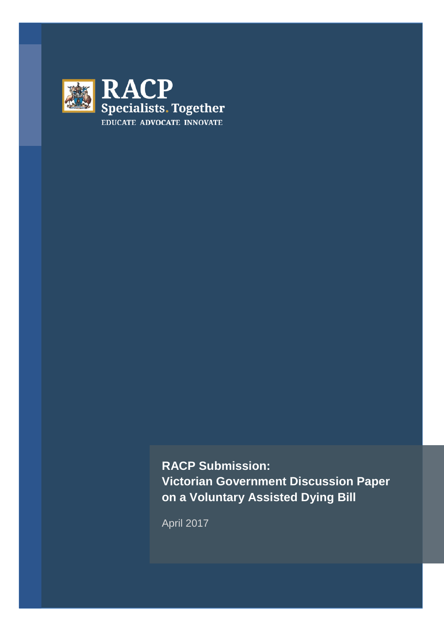

**RACP Submission: Victorian Government Discussion Paper on a Voluntary Assisted Dying Bill** 

April 2017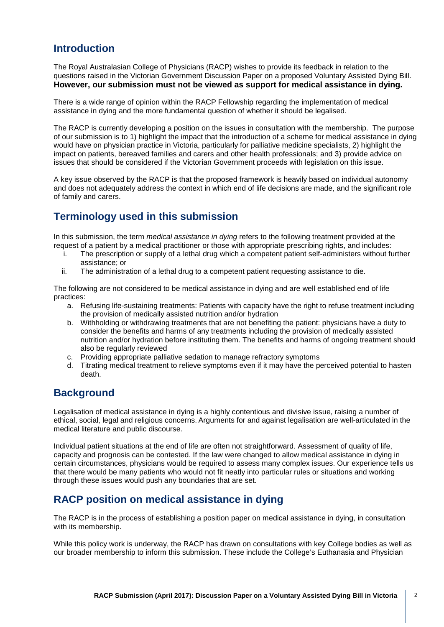# **Introduction**

The Royal Australasian College of Physicians (RACP) wishes to provide its feedback in relation to the questions raised in the Victorian Government Discussion Paper on a proposed Voluntary Assisted Dying Bill. **However, our submission must not be viewed as support for medical assistance in dying.**

There is a wide range of opinion within the RACP Fellowship regarding the implementation of medical assistance in dying and the more fundamental question of whether it should be legalised.

The RACP is currently developing a position on the issues in consultation with the membership. The purpose of our submission is to 1) highlight the impact that the introduction of a scheme for medical assistance in dying would have on physician practice in Victoria, particularly for palliative medicine specialists, 2) highlight the impact on patients, bereaved families and carers and other health professionals; and 3) provide advice on issues that should be considered if the Victorian Government proceeds with legislation on this issue.

A key issue observed by the RACP is that the proposed framework is heavily based on individual autonomy and does not adequately address the context in which end of life decisions are made, and the significant role of family and carers.

# **Terminology used in this submission**

In this submission, the term *medical assistance in dying* refers to the following treatment provided at the request of a patient by a medical practitioner or those with appropriate prescribing rights, and includes:

- i. The prescription or supply of a lethal drug which a competent patient self-administers without further assistance; or
- ii. The administration of a lethal drug to a competent patient requesting assistance to die.

The following are not considered to be medical assistance in dying and are well established end of life practices:

- a. Refusing life-sustaining treatments: Patients with capacity have the right to refuse treatment including the provision of medically assisted nutrition and/or hydration
- b. Withholding or withdrawing treatments that are not benefiting the patient: physicians have a duty to consider the benefits and harms of any treatments including the provision of medically assisted nutrition and/or hydration before instituting them. The benefits and harms of ongoing treatment should also be regularly reviewed
- c. Providing appropriate palliative sedation to manage refractory symptoms
- d. Titrating medical treatment to relieve symptoms even if it may have the perceived potential to hasten death.

# **Background**

Legalisation of medical assistance in dying is a highly contentious and divisive issue, raising a number of ethical, social, legal and religious concerns. Arguments for and against legalisation are well-articulated in the medical literature and public discourse.

Individual patient situations at the end of life are often not straightforward. Assessment of quality of life, capacity and prognosis can be contested. If the law were changed to allow medical assistance in dying in certain circumstances, physicians would be required to assess many complex issues. Our experience tells us that there would be many patients who would not fit neatly into particular rules or situations and working through these issues would push any boundaries that are set.

# **RACP position on medical assistance in dying**

The RACP is in the process of establishing a position paper on medical assistance in dying, in consultation with its membership.

While this policy work is underway, the RACP has drawn on consultations with key College bodies as well as our broader membership to inform this submission. These include the College's Euthanasia and Physician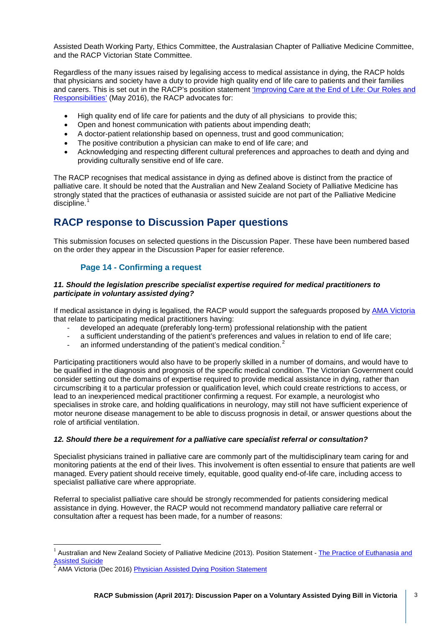Assisted Death Working Party, Ethics Committee, the Australasian Chapter of Palliative Medicine Committee, and the RACP Victorian State Committee.

Regardless of the many issues raised by legalising access to medical assistance in dying, the RACP holds that physicians and society have a duty to provide high quality end of life care to patients and their families and carers. This is set out in the RACP's position statement ['Improving Care at the End of Life: Our Roles and](https://www.racp.edu.au/docs/default-source/advocacy-library/pa-pos-end-of-life-position-statement.pdf)  [Responsibilities'](https://www.racp.edu.au/docs/default-source/advocacy-library/pa-pos-end-of-life-position-statement.pdf) (May 2016), the RACP advocates for:

- High quality end of life care for patients and the duty of all physicians to provide this;
- Open and honest communication with patients about impending death;
- A doctor-patient relationship based on openness, trust and good communication;
- The positive contribution a physician can make to end of life care; and
- Acknowledging and respecting different cultural preferences and approaches to death and dying and providing culturally sensitive end of life care.

The RACP recognises that medical assistance in dying as defined above is distinct from the practice of palliative care. It should be noted that the Australian and New Zealand Society of Palliative Medicine has strongly stated that the practices of euthanasia or assisted suicide are not part of the Palliative Medicine  $discpline.<sup>1</sup>$  $discpline.<sup>1</sup>$  $discpline.<sup>1</sup>$ 

# **RACP response to Discussion Paper questions**

This submission focuses on selected questions in the Discussion Paper. These have been numbered based on the order they appear in the Discussion Paper for easier reference.

# **Page 14 - Confirming a request**

### *11. Should the legislation prescribe specialist expertise required for medical practitioners to participate in voluntary assisted dying?*

If medical assistance in dying is legalised, the RACP would support the safeguards proposed by [AMA Victoria](http://amavic.com.au/page/News/Physician_Assisted_Dying/) that relate to participating medical practitioners having:

- developed an adequate (preferably long-term) professional relationship with the patient
- a sufficient understanding of the patient's preferences and values in relation to end of life care;
- an informed understanding of the patient's medical condition.<sup>[2](#page-2-1)</sup>

Participating practitioners would also have to be properly skilled in a number of domains, and would have to be qualified in the diagnosis and prognosis of the specific medical condition. The Victorian Government could consider setting out the domains of expertise required to provide medical assistance in dying, rather than circumscribing it to a particular profession or qualification level, which could create restrictions to access, or lead to an inexperienced medical practitioner confirming a request. For example, a neurologist who specialises in stroke care, and holding qualifications in neurology, may still not have sufficient experience of motor neurone disease management to be able to discuss prognosis in detail, or answer questions about the role of artificial ventilation.

## *12. Should there be a requirement for a palliative care specialist referral or consultation?*

Specialist physicians trained in palliative care are commonly part of the multidisciplinary team caring for and monitoring patients at the end of their lives. This involvement is often essential to ensure that patients are well managed. Every patient should receive timely, equitable, good quality end-of-life care, including access to specialist palliative care where appropriate.

Referral to specialist palliative care should be strongly recommended for patients considering medical assistance in dying. However, the RACP would not recommend mandatory palliative care referral or consultation after a request has been made, for a number of reasons:

<span id="page-2-0"></span>Australian and New Zealand Society of Palliative Medicine (2013). Position Statement - The Practice of Euthanasia and Assisted Suicide  $\frac{1}{1}$ 

<span id="page-2-1"></span><sup>2</sup> AMA Victoria (Dec 2016) [Physician Assisted Dying Position Statement](http://amavic.com.au/icms_docs/256418_AMA_Victoria_s_position_statement_on_physician_asssisted_dying.pdf)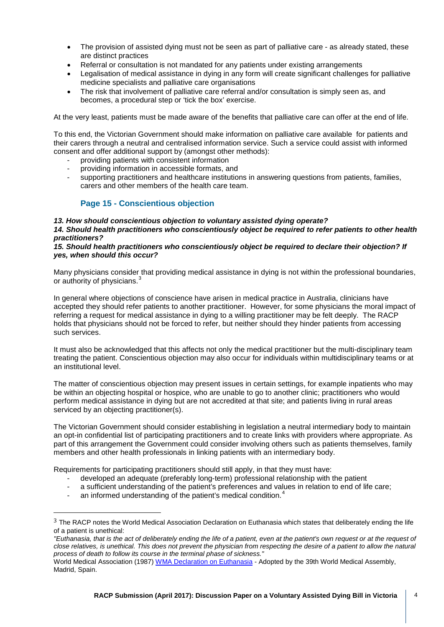- The provision of assisted dying must not be seen as part of palliative care as already stated, these are distinct practices
- Referral or consultation is not mandated for any patients under existing arrangements
- Legalisation of medical assistance in dying in any form will create significant challenges for palliative medicine specialists and palliative care organisations
- The risk that involvement of palliative care referral and/or consultation is simply seen as, and becomes, a procedural step or 'tick the box' exercise.

At the very least, patients must be made aware of the benefits that palliative care can offer at the end of life.

To this end, the Victorian Government should make information on palliative care available for patients and their carers through a neutral and centralised information service. Such a service could assist with informed consent and offer additional support by (amongst other methods):

- providing patients with consistent information
- providing information in accessible formats, and
- supporting practitioners and healthcare institutions in answering questions from patients, families, carers and other members of the health care team.

## **Page 15 - Conscientious objection**

#### *13. How should conscientious objection to voluntary assisted dying operate?*

*14. Should health practitioners who conscientiously object be required to refer patients to other health practitioners?*

#### *15. Should health practitioners who conscientiously object be required to declare their objection? If yes, when should this occur?*

Many physicians consider that providing medical assistance in dying is not within the professional boundaries, or authority of physicians.<sup>[3](#page-3-0)</sup>

In general where objections of conscience have arisen in medical practice in Australia, clinicians have accepted they should refer patients to another practitioner. However, for some physicians the moral impact of referring a request for medical assistance in dying to a willing practitioner may be felt deeply. The RACP holds that physicians should not be forced to refer, but neither should they hinder patients from accessing such services.

It must also be acknowledged that this affects not only the medical practitioner but the multi-disciplinary team treating the patient. Conscientious objection may also occur for individuals within multidisciplinary teams or at an institutional level.

The matter of conscientious objection may present issues in certain settings, for example inpatients who may be within an objecting hospital or hospice, who are unable to go to another clinic; practitioners who would perform medical assistance in dying but are not accredited at that site; and patients living in rural areas serviced by an objecting practitioner(s).

The Victorian Government should consider establishing in legislation a neutral intermediary body to maintain an opt-in confidential list of participating practitioners and to create links with providers where appropriate. As part of this arrangement the Government could consider involving others such as patients themselves, family members and other health professionals in linking patients with an intermediary body.

Requirements for participating practitioners should still apply, in that they must have:

- developed an adequate (preferably long-term) professional relationship with the patient
- a sufficient understanding of the patient's preferences and values in relation to end of life care;
- an informed understanding of the patient's medical condition.<sup>[4](#page-3-1)</sup>

i,

<span id="page-3-0"></span><sup>&</sup>lt;sup>3</sup> The RACP notes the World Medical Association Declaration on Euthanasia which states that deliberately ending the life of a patient is unethical:

*<sup>&</sup>quot;Euthanasia, that is the act of deliberately ending the life of a patient, even at the patient's own request or at the request of close relatives, is unethical. This does not prevent the physician from respecting the desire of a patient to allow the natural process of death to follow its course in the terminal phase of sickness."*

<span id="page-3-1"></span>World Medical Association (1987[\) WMA Declaration on Euthanasia](http://www.wma.net/en/30publications/10policies/e13/) - Adopted by the 39th World Medical Assembly, Madrid, Spain.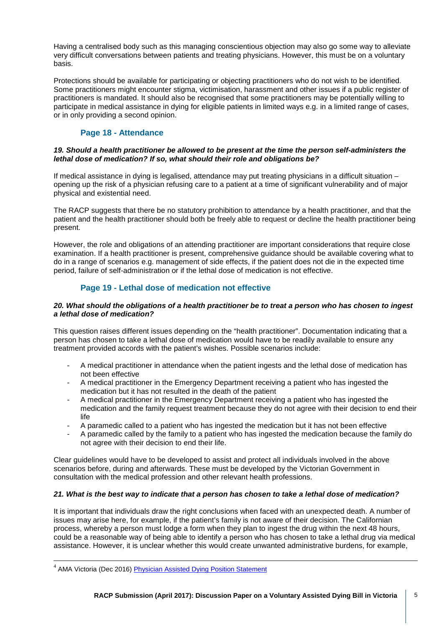Having a centralised body such as this managing conscientious objection may also go some way to alleviate very difficult conversations between patients and treating physicians. However, this must be on a voluntary basis.

Protections should be available for participating or objecting practitioners who do not wish to be identified. Some practitioners might encounter stigma, victimisation, harassment and other issues if a public register of practitioners is mandated. It should also be recognised that some practitioners may be potentially willing to participate in medical assistance in dying for eligible patients in limited ways e.g. in a limited range of cases, or in only providing a second opinion.

# **Page 18 - Attendance**

### *19. Should a health practitioner be allowed to be present at the time the person self-administers the lethal dose of medication? If so, what should their role and obligations be?*

If medical assistance in dying is legalised, attendance may put treating physicians in a difficult situation – opening up the risk of a physician refusing care to a patient at a time of significant vulnerability and of major physical and existential need.

The RACP suggests that there be no statutory prohibition to attendance by a health practitioner, and that the patient and the health practitioner should both be freely able to request or decline the health practitioner being present.

However, the role and obligations of an attending practitioner are important considerations that require close examination. If a health practitioner is present, comprehensive guidance should be available covering what to do in a range of scenarios e.g. management of side effects, if the patient does not die in the expected time period, failure of self-administration or if the lethal dose of medication is not effective.

# **Page 19 - Lethal dose of medication not effective**

### *20. What should the obligations of a health practitioner be to treat a person who has chosen to ingest a lethal dose of medication?*

This question raises different issues depending on the "health practitioner". Documentation indicating that a person has chosen to take a lethal dose of medication would have to be readily available to ensure any treatment provided accords with the patient's wishes. Possible scenarios include:

- A medical practitioner in attendance when the patient ingests and the lethal dose of medication has not been effective
- A medical practitioner in the Emergency Department receiving a patient who has ingested the medication but it has not resulted in the death of the patient
- A medical practitioner in the Emergency Department receiving a patient who has ingested the medication and the family request treatment because they do not agree with their decision to end their life
- A paramedic called to a patient who has ingested the medication but it has not been effective
- A paramedic called by the family to a patient who has ingested the medication because the family do not agree with their decision to end their life.

Clear guidelines would have to be developed to assist and protect all individuals involved in the above scenarios before, during and afterwards. These must be developed by the Victorian Government in consultation with the medical profession and other relevant health professions.

## *21. What is the best way to indicate that a person has chosen to take a lethal dose of medication?*

It is important that individuals draw the right conclusions when faced with an unexpected death. A number of issues may arise here, for example, if the patient's family is not aware of their decision. The Californian process, whereby a person must lodge a form when they plan to ingest the drug within the next 48 hours, could be a reasonable way of being able to identify a person who has chosen to take a lethal drug via medical assistance. However, it is unclear whether this would create unwanted administrative burdens, for example,

<sup>&</sup>lt;sup>4</sup> AMA Victoria (Dec 2016) **Physician Assisted Dying Position Statement**  $\overline{1}$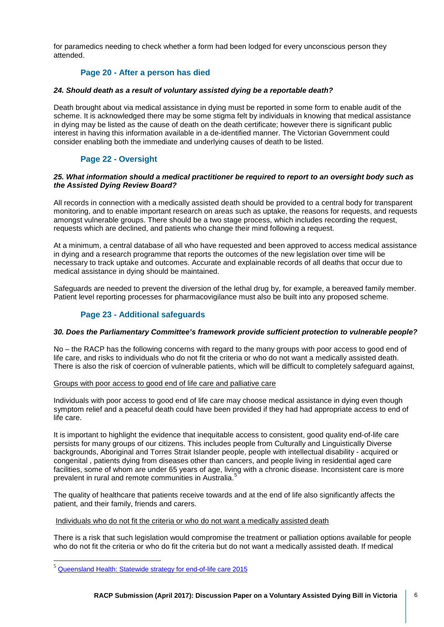for paramedics needing to check whether a form had been lodged for every unconscious person they attended.

## **Page 20 - After a person has died**

#### *24. Should death as a result of voluntary assisted dying be a reportable death?*

Death brought about via medical assistance in dying must be reported in some form to enable audit of the scheme. It is acknowledged there may be some stigma felt by individuals in knowing that medical assistance in dying may be listed as the cause of death on the death certificate; however there is significant public interest in having this information available in a de-identified manner. The Victorian Government could consider enabling both the immediate and underlying causes of death to be listed.

# **Page 22 - Oversight**

### *25. What information should a medical practitioner be required to report to an oversight body such as the Assisted Dying Review Board?*

All records in connection with a medically assisted death should be provided to a central body for transparent monitoring, and to enable important research on areas such as uptake, the reasons for requests, and requests amongst vulnerable groups. There should be a two stage process, which includes recording the request, requests which are declined, and patients who change their mind following a request.

At a minimum, a central database of all who have requested and been approved to access medical assistance in dying and a research programme that reports the outcomes of the new legislation over time will be necessary to track uptake and outcomes. Accurate and explainable records of all deaths that occur due to medical assistance in dying should be maintained.

Safeguards are needed to prevent the diversion of the lethal drug by, for example, a bereaved family member. Patient level reporting processes for pharmacovigilance must also be built into any proposed scheme.

## **Page 23 - Additional safeguards**

#### *30. Does the Parliamentary Committee's framework provide sufficient protection to vulnerable people?*

No – the RACP has the following concerns with regard to the many groups with poor access to good end of life care, and risks to individuals who do not fit the criteria or who do not want a medically assisted death. There is also the risk of coercion of vulnerable patients, which will be difficult to completely safeguard against,

#### Groups with poor access to good end of life care and palliative care

Individuals with poor access to good end of life care may choose medical assistance in dying even though symptom relief and a peaceful death could have been provided if they had had appropriate access to end of life care.

It is important to highlight the evidence that inequitable access to consistent, good quality end-of-life care persists for many groups of our citizens. This includes people from Culturally and Linguistically Diverse backgrounds, Aboriginal and Torres Strait Islander people, people with intellectual disability - acquired or congenital , patients dying from diseases other than cancers, and people living in residential aged care facilities, some of whom are under 65 years of age, living with a chronic disease. Inconsistent care is more prevalent in rural and remote communities in Australia.<sup>[5](#page-5-0)</sup>

The quality of healthcare that patients receive towards and at the end of life also significantly affects the patient, and their family, friends and carers.

Individuals who do not fit the criteria or who do not want a medically assisted death

There is a risk that such legislation would compromise the treatment or palliation options available for people who do not fit the criteria or who do fit the criteria but do not want a medically assisted death. If medical

<span id="page-5-0"></span><sup>&</sup>lt;sup>5</sup> Queensland Health: Statewide strategy for end-of-life care 2015  $\overline{\phantom{a}}$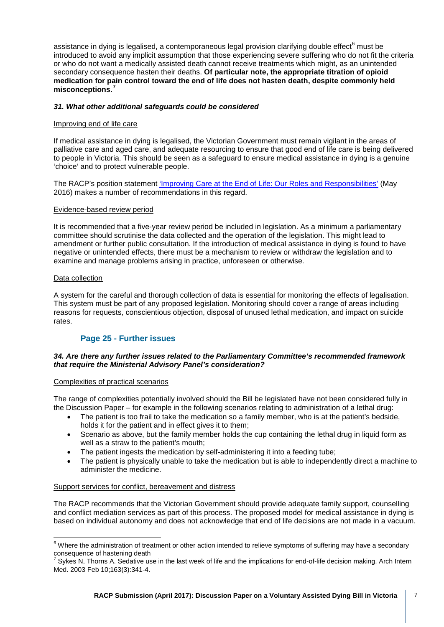assistance in dying is legalised, a contemporaneous legal provision clarifying double effect $<sup>6</sup>$  $<sup>6</sup>$  $<sup>6</sup>$  must be</sup> introduced to avoid any implicit assumption that those experiencing severe suffering who do not fit the criteria or who do not want a medically assisted death cannot receive treatments which might, as an unintended secondary consequence hasten their deaths. **Of particular note, the appropriate titration of opioid medication for pain control toward the end of life does not hasten death, despite commonly held misconceptions.[7](#page-6-1)**

### *31. What other additional safeguards could be considered*

#### Improving end of life care

If medical assistance in dying is legalised, the Victorian Government must remain vigilant in the areas of palliative care and aged care, and adequate resourcing to ensure that good end of life care is being delivered to people in Victoria. This should be seen as a safeguard to ensure medical assistance in dying is a genuine 'choice' and to protect vulnerable people.

The RACP's position statemen[t 'Improving Care at the End of Life: Our Roles and Responsibilities'](https://www.racp.edu.au/docs/default-source/advocacy-library/pa-pos-end-of-life-position-statement.pdf) (May 2016) makes a number of recommendations in this regard.

#### Evidence-based review period

It is recommended that a five-year review period be included in legislation. As a minimum a parliamentary committee should scrutinise the data collected and the operation of the legislation. This might lead to amendment or further public consultation. If the introduction of medical assistance in dying is found to have negative or unintended effects, there must be a mechanism to review or withdraw the legislation and to examine and manage problems arising in practice, unforeseen or otherwise.

#### Data collection

A system for the careful and thorough collection of data is essential for monitoring the effects of legalisation. This system must be part of any proposed legislation. Monitoring should cover a range of areas including reasons for requests, conscientious objection, disposal of unused lethal medication, and impact on suicide rates.

## **Page 25 - Further issues**

#### *34. Are there any further issues related to the Parliamentary Committee's recommended framework that require the Ministerial Advisory Panel's consideration?*

#### Complexities of practical scenarios

The range of complexities potentially involved should the Bill be legislated have not been considered fully in the Discussion Paper – for example in the following scenarios relating to administration of a lethal drug:

- The patient is too frail to take the medication so a family member, who is at the patient's bedside, holds it for the patient and in effect gives it to them;
- Scenario as above, but the family member holds the cup containing the lethal drug in liquid form as well as a straw to the patient's mouth;
- The patient ingests the medication by self-administering it into a feeding tube;
- The patient is physically unable to take the medication but is able to independently direct a machine to administer the medicine.

#### Support services for conflict, bereavement and distress

The RACP recommends that the Victorian Government should provide adequate family support, counselling and conflict mediation services as part of this process. The proposed model for medical assistance in dying is based on individual autonomy and does not acknowledge that end of life decisions are not made in a vacuum.

<span id="page-6-0"></span> $6$  Where the administration of treatment or other action intended to relieve symptoms of suffering may have a secondary consequence of hastening death  $\frac{1}{6}$ 

<span id="page-6-1"></span> $^7$  Sykes N, Thorns A. Sedative use in the last week of life and the implications for end-of-life decision making. Arch Intern Med. 2003 Feb 10;163(3):341-4.